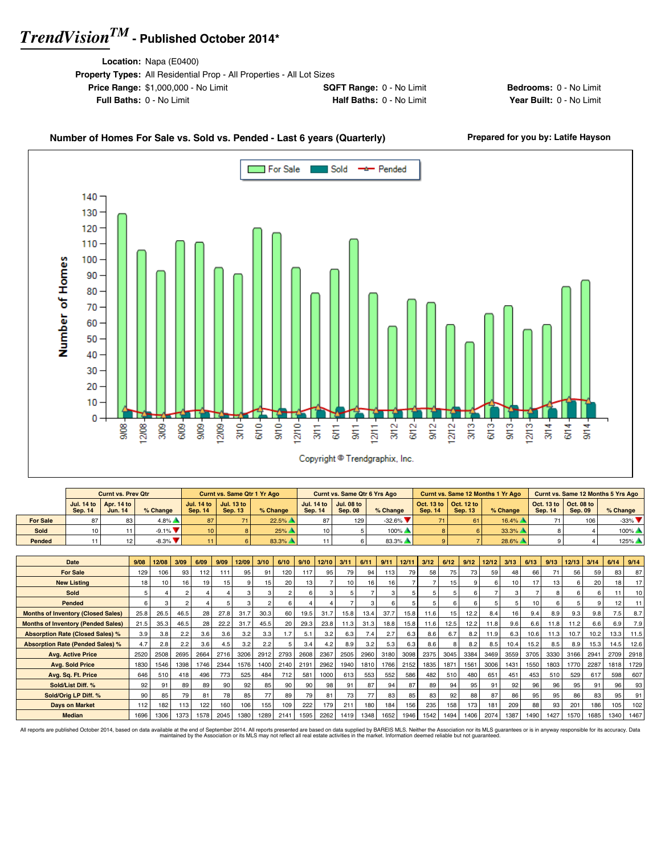**Location:** Napa (E0400)

30 20 10

0

12/08  $3/09 -$ 6/09-9/09-

 $9008$ 

| <b>Property Types:</b> All Residential Prop - All Properties - All Lot Sizes |                                 |
|------------------------------------------------------------------------------|---------------------------------|
| <b>Price Range: \$1,000,000 - No Limit</b>                                   | <b>SQFT Range: 0 - No Limit</b> |
| <b>Full Baths: 0 - No Limit</b>                                              | Half Baths: 0 - No Limit        |

**Bedrooms:** 0 - No Limit **Year Built: 0 - No Limit** 

T

 $1213 -$ 

 $374$  $6/14$  $9/14$ 

 $3/13 -$ 

6/13- $9/13 -$ 

 $12/12 -$ 

 $9/12 -$ 

#### Number of Homes For Sale vs. Sold vs. Pended - Last 6 years (Quarterly) Prepared for you by: Latife Hayson For Sale Sold -\* Pended Г 140 130 120 110 Number of Homes 100 90 80 70 60 50 40

 $rac{1}{25}$ 

 $12110 -$ 

 $3/11 -$ 

 $370 -$ 

 $1209 -$ 

 $670 -$ 

|                 |                | <b>Curnt vs. Prev Qtr</b>                               |                               |                 | Curnt vs. Same Qtr 1 Yr Ago                             |          |                                                         | <b>Curnt vs. Same Qtr 6 Yrs Ago</b> |                         |                                                                 |                | Curnt vs. Same 12 Months 1 Yr Ago |                                                         |                | <b>Curnt vs. Same 12 Months 5 Yrs Ago</b> |
|-----------------|----------------|---------------------------------------------------------|-------------------------------|-----------------|---------------------------------------------------------|----------|---------------------------------------------------------|-------------------------------------|-------------------------|-----------------------------------------------------------------|----------------|-----------------------------------|---------------------------------------------------------|----------------|-------------------------------------------|
|                 | <b>Sep. 14</b> | Jul. 14 to $\vert$ Apr. 14 to $\vert$<br><b>Jun. 14</b> | % Change                      | <b>Sep. 14</b>  | Jul. 14 to $\vert$ Jul. 13 to $\vert$<br><b>Sep. 13</b> | % Change | Jul. $14$ to $\overline{\phantom{a}}$<br><b>Sep. 14</b> | <b>Jul. 08 to</b><br><b>Sep. 08</b> | % Change                | $\vert$ Oct. 13 to $\vert$ Oct. 12 to $\vert$<br><b>Sep. 14</b> | <b>Sep. 13</b> | $%$ Change                        | Oct. 13 to $\vert$ Oct. 08 to $\vert$<br><b>Sep. 14</b> | <b>Sep. 09</b> | $%$ Change                                |
| <b>For Sale</b> |                |                                                         | $4.8\%$ $\triangle$           | 87              |                                                         | 22.5%    | 87                                                      | 129                                 | $-32.6\%$               | 71                                                              | 61             | $16.4\%$                          | 71                                                      | 106            | $-33\%$                                   |
| Sold            |                |                                                         | $-9.1\%$ $\blacktriangledown$ | 10 <sup>1</sup> |                                                         | 25%      | 10 <sup>1</sup>                                         |                                     | $100\%$ $\triangle$     |                                                                 |                | 33.3%                             |                                                         |                | $100\%$                                   |
| Pended          |                |                                                         | $-8.3\%$ $\blacktriangledown$ | 11              |                                                         | 83.3%    |                                                         |                                     | $83.3\%$ $\blacksquare$ |                                                                 |                | 28.6%                             |                                                         |                | $125\%$ $\triangle$                       |

 $rac{1}{6}$ 

в

 $3/12$  $6/12$ 

 $\frac{1}{2}$ 

 $9/11 -$ 

Copyright <sup>@</sup> Trendgraphix, Inc.

| Date                                      | 9/08 | 12/08           | 3/09 | 6/09 | 9/09 | 12/09        | 3/10           | 6/10 | 9/10 | 12/10 | 3/11 | 6/11 | 9/11 | 12/11 | 3/12 | 6/12 | 9/12         | 12/12 | 3/13 | 6/13 | 9/13     | 12/13  | 3/14 | 6/14 | 9/14 |
|-------------------------------------------|------|-----------------|------|------|------|--------------|----------------|------|------|-------|------|------|------|-------|------|------|--------------|-------|------|------|----------|--------|------|------|------|
| <b>For Sale</b>                           | 129  | 106             | 93   | 112  | 111  | 95           | 91             | 120  | 117  | 95    | 79   | 94   | 113  | 79    | 58   | 75   | 73           | 59    | 48   | 66   |          | 56     | 59   | 83   | 87   |
| <b>New Listing</b>                        | 18   | 10 <sup>1</sup> | 16   | 19   | 15   | <sub>9</sub> | 15             | 20   | 13   |       | 10   | 16   | 16   |       |      | 15   | $\mathbf{Q}$ | 6     | 10   | 17   | 13       |        | 20   | 18   | 17   |
| Sold                                      | 5    |                 |      |      |      |              |                |      | 6    | 3     |      |      |      |       |      | 5    | 6            |       | 3    |      |          |        |      | 11   | 10   |
| Pended                                    | 6    |                 |      |      |      | з            | $\overline{2}$ |      |      |       |      |      |      |       |      | 6    | 6            | 5     | 5    | 10   | <b>R</b> |        |      | 12   | 11   |
| <b>Months of Inventory (Closed Sales)</b> | 25.8 | 26.5            | 46.5 | 28   | 27.8 | 31.7         | 30.3           | 60   | 19.5 | 31.7  | 15.8 | 13.4 | 37.7 | 15.8  | 11.6 | 15   | 12.2         | 8.4   | 16   | 9.4  | 8.9      | 9.3    | 9.8  | 7.5  | 8.7  |
| <b>Months of Inventory (Pended Sales)</b> | 21.5 | 35.3            | 46.5 | 28   | 22.2 | 31.7         | 45.5           | 20   | 29.3 | 23.8  | 11.3 | 31.3 | 18.8 | 15.8  | 11.6 | 12.5 | 12.2         | 11.8  | 9.6  | 6.6  | 11.8     | 11.2   | 6.6  | 6.9  | 7.9  |
| <b>Absorption Rate (Closed Sales) %</b>   | 3.9  | 3.8             | 2.2  | 3.6  | 3.6  | 3.2          | 3.3            | 1.7  | 5.1  | 3.2   | 6.3  | 7.4  | 2.7  | 6.3   | 8.6  | 6.7  | 8.2          | 11.9  | 6.3  | 10.6 | 11.3     | 10.7   | 10.2 | 13.3 | 11.5 |
| <b>Absorption Rate (Pended Sales) %</b>   | 4.7  | 2.8             | 2.2  | 3.6  | 4.5  | 3.2          | 2.2            |      | 3.4  | 4.2   | 8.9  | 3.2  | 5.3  | 6.3   | 8.6  | 8    | 8.2          | 8.5   | 10.4 | 15.2 | 8.5      | 8.9    | 15.3 | 14.5 | 12.6 |
| <b>Avg. Active Price</b>                  | 2520 | 2508            | 2695 | 2664 | 2716 | 3206         | 2912           | 2793 | 2608 | 2367  | 2505 | 2960 | 3180 | 3098  | 2375 | 3045 | 3384         | 3469  | 3559 | 3705 | 3330     | 3166   | 2941 | 2709 | 2918 |
| <b>Avg. Sold Price</b>                    | 1830 | 1546            | 1398 | 1746 | 2344 | 1576         | 1400           | 2140 | 2191 | 2962  | 1940 | 1810 | 1766 | 2152  | 1835 | 1871 | 1561         | 3006  | 1431 | 1550 | 1803     | 1770   | 2287 | 1818 | 1729 |
| Avg. Sq. Ft. Price                        | 646  | 510             | 418  | 496  | 773  | 525          | 484            | 712  | 581  | 1000  | 613  | 553  | 552  | 586   | 482  | 510  | 480          | 651   | 451  | 453  | 510      | 529    | 617  | 598  | 607  |
| Sold/List Diff. %                         | 92   | 91              | 89   | 89   | 90   | 92           | 85             | 90   | 90   | 98    | 91   | 87   | 94   | 87    | 89   | 94   | 95           | 91    | 92   | 96   | 96       | 95     | 91   | 96   | 93   |
| Sold/Orig LP Diff. %                      | 90   | 85              | 79   | 81   | 78   | 85           | 77             | 89   | 79   | 81    | 73   | 77   | 83   | 85    | 83   | 92   | 88           | 87    | 86   | 95   | 95       | 86     | 83   | 95   | 91   |
| <b>Days on Market</b>                     | 112  | 182             | 113  | 122  | 160  | 106          | 155            | 109  | 222  | 179   | 211  | 180  | 184  | 156   | 235  | 158  | 173          | 181   | 209  | 88   | 93       | $20 -$ | 186  | 105  | 102  |
| <b>Median</b>                             | 1696 | 1306            | 1373 | 1578 | 2045 | 1380         | 1289           | 2141 | 1595 | 2262  | 1419 | 1348 | 1652 | 1946  | 1542 | 1494 | 1406         | 2074  | 1387 | 1490 | 1427     | 1570   | 1685 | 1340 | 1467 |

All reports are published October 2014, based on data available at the end of September 2014. All reports presented are based on data avaindanced by the Association or its MLS may not reflect all real estate activities in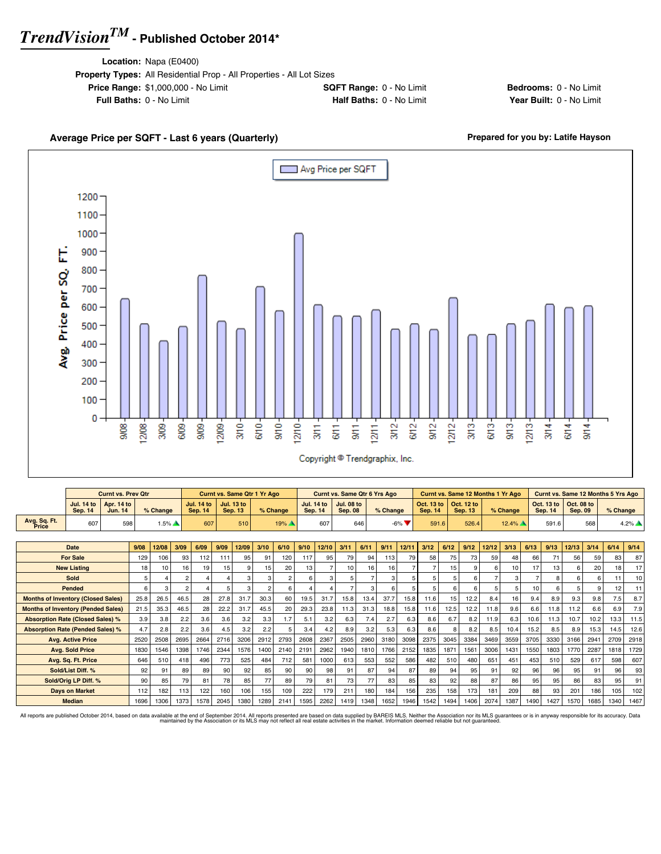**Location:** Napa (E0400)

| <b>Property Types:</b> All Residential Prop - All Properties - All Lot Sizes |                                 |
|------------------------------------------------------------------------------|---------------------------------|
| <b>Price Range: \$1,000,000 - No Limit</b>                                   | <b>SQFT Range: 0 - No Limit</b> |
| <b>Full Baths: 0 - No Limit</b>                                              | Half Baths: 0 - No Limit        |
|                                                                              |                                 |

**Bedrooms:** 0 - No Limit **Year Built: 0 - No Limit** 

#### Average Price per SQFT - Last 6 years (Quarterly) **Average Price per SQFT - Last 6 years (Quarterly) Prepared for you by: Latife Hayson**





|                                           |                                     | <b>Curnt vs. Prev Qtr</b>    |      |          |                |                                     |      | <b>Curnt vs. Same Qtr 1 Yr Ago</b>  |      |          |                |                   | Curnt vs. Same Qtr 6 Yrs Ago        |      |          |       |                              |       | <b>Curnt vs. Same 12 Months 1 Yr Ago</b> |       |          |      | <b>Curnt vs. Same 12 Months 5 Yrs Ago</b> |                              |      |          |         |
|-------------------------------------------|-------------------------------------|------------------------------|------|----------|----------------|-------------------------------------|------|-------------------------------------|------|----------|----------------|-------------------|-------------------------------------|------|----------|-------|------------------------------|-------|------------------------------------------|-------|----------|------|-------------------------------------------|------------------------------|------|----------|---------|
|                                           | <b>Jul. 14 to</b><br><b>Sep. 14</b> | Apr. 14 to<br><b>Jun. 14</b> |      | % Change |                | <b>Jul. 14 to</b><br><b>Sep. 14</b> |      | <b>Jul. 13 to</b><br><b>Sep. 13</b> |      | % Change | <b>Sep. 14</b> | <b>Jul. 14 to</b> | <b>Jul. 08 to</b><br><b>Sep. 08</b> |      | % Change |       | Oct. 13 to<br><b>Sep. 14</b> |       | Oct. 12 to<br><b>Sep. 13</b>             |       | % Change |      | Oct. 13 to<br><b>Sep. 14</b>              | Oct. 08 to<br><b>Sep. 09</b> |      | % Change |         |
| Avg. Sq. Ft.<br>Price                     | 607                                 |                              | 598  | $1.5\%$  |                | 607                                 |      | 510                                 |      | 19%      |                | 607               |                                     | 646  |          | $-6%$ |                              | 591.6 | 526.4                                    |       | $12.4\%$ |      | 591.6                                     |                              | 568  |          | $4.2\%$ |
|                                           |                                     |                              |      |          |                |                                     |      |                                     |      |          |                |                   |                                     |      |          |       |                              |       |                                          |       |          |      |                                           |                              |      |          |         |
|                                           | Date                                |                              | 9/08 | 12/08    | 3/09           | 6/09                                | 9/09 | 12/09                               | 3/10 | 6/10     | 9/10           | 12/10             | 3/11                                | 6/11 | 9/11     | 12/11 | 3/12                         | 6/12  | 9/12                                     | 12/12 | 3/13     | 6/13 | 9/13                                      | 12/13                        | 3/14 | 6/14     | 9/14    |
|                                           | <b>For Sale</b>                     |                              | 129  | 106      | 93             | 112                                 | 111  | 95                                  | 91   | 120      | 117            | 95                | 79                                  | 94   | 113      | 79    | 58                           | 75    | 73                                       | 59    | 48       | 66   | 71                                        | 56                           | 59   | 83       | 87      |
|                                           | <b>New Listing</b>                  |                              | 18   | 10       | 16             | 19                                  | 15   |                                     | 15   | 20       | 13             |                   | 10                                  | 16   | 16       | 7     |                              | 15    |                                          | 6     | 10       | 17   | 13                                        | 6                            | 20   | 18       | 17      |
|                                           | Sold                                |                              | 5    |          | $\overline{2}$ |                                     |      |                                     | з    |          | ĥ              | 3                 | 5                                   |      | 3        |       | 5                            |       |                                          |       | з        |      | 8                                         | 6                            | 6    | 11       | 10      |
|                                           | Pended                              |                              | 6    | 3        | $\overline{2}$ |                                     | 5.   |                                     | 2    | 6        |                |                   | $\overline{7}$                      | 3    | 6        | 5     |                              | 6     | ĥ                                        | 5     | 5        | 10   | 6                                         | 5                            | 9    | 12       | 11      |
| <b>Months of Inventory (Closed Sales)</b> |                                     |                              | 25.8 | 26.5     | 46.5           | 28                                  | 27.8 | 31.7                                | 30.3 | 60       | 19.5           | 31.7              | 15.8                                | 13.4 | 37.7     | 15.8  | 11.6                         | 15    | 12.2                                     | 8.4   | 16       | 9.4  | 8.9                                       | 9.3                          | 9.8  | 7.5      | 8.7     |
| <b>Months of Inventory (Pended Sales)</b> |                                     |                              | 21.5 | 35.3     | 46.5           | 28                                  | 22.2 | 31.7                                | 45.5 | 20       | 29.3           | 23.8              | 11.3                                | 31.3 | 18.8     | 15.8  | 11.6                         | 12.5  | 12.2                                     | 11.8  | 9.6      | 6.6  | 11.8                                      | 11.2                         | 6.6  | 6.9      | 7.9     |
| <b>Absorption Rate (Closed Sales) %</b>   |                                     |                              | 3.9  | 3.8      | 2.2            | 3.6                                 | 3.6  | 3.2                                 | 3.3  | 1.7      | 5.1            | 3.2               | 6.3                                 | 7.4  | 2.7      | 6.3   | 8.6                          | 6.7   | 8.2                                      | 11.9  | 6.3      | 10.6 | 11.3                                      | 10.7                         | 10.2 | 13.3     | 11.5    |
| <b>Absorption Rate (Pended Sales) %</b>   |                                     |                              | 4.7  | 2.8      | 2.2            | 3.6                                 | 4.5  | 3.2                                 | 2.2  | 5        | 3.4            | 4.2               | 8.9                                 | 3.2  | 5.3      | 6.3   | 8.6                          | 8     | 8.2                                      | 8.5   | 10.4     | 15.2 | 8.5                                       | 8.9                          | 15.3 | 14.5     | 12.6    |
|                                           | <b>Avg. Active Price</b>            |                              | 2520 | 2508     | 2695           | 2664                                | 2716 | 3206                                | 2912 | 2793     | 2608           | 2367              | 2505                                | 2960 | 3180     | 3098  | 2375                         | 3045  | 3384                                     | 3469  | 3559     | 3705 | 3330                                      | 3166                         | 2941 | 2709     | 2918    |
|                                           | <b>Avg. Sold Price</b>              |                              | 1830 | 1546     | 1398           | 1746                                | 2344 | 1576                                | 1400 | 2140     | 2191           | 2962              | 1940                                | 1810 | 1766     | 2152  | 1835                         | 1871  | 1561                                     | 3006  | 1431     | 1550 | 1803                                      | 1770                         | 2287 | 1818     | 1729    |
|                                           | Avg. Sq. Ft. Price                  |                              | 646  | 510      | 418            | 496                                 | 773  | 525                                 | 484  | 712      | 581            | 1000              | 613                                 | 553  | 552      | 586   | 482                          | 510   | 480                                      | 651   | 451      | 453  | 510                                       | 529                          | 617  | 598      | 607     |
|                                           | Sold/List Diff. %                   |                              | 92   | 91       | 89             | 89                                  | 90   | 92                                  | 85   | 90       | 90             | 98                | 91                                  | 87   | 94       | 87    | 89                           | 94    | 95                                       | 91    | 92       | 96   | 96                                        | 95                           | 91   | 96       | 93      |
|                                           | Sold/Oria LP Diff. %                |                              | 90   | 85       | 79             | 81                                  | 78   | 85                                  | 77   | 89       | 79             | 81                | 73                                  | 77   | 83       | 85    | 83                           | 92    | 88                                       | 87    | 86       | 95   | 95                                        | 86                           | 83   | 95       | 91      |
|                                           | <b>Days on Market</b>               |                              | 112  | 182      | 113            | 122                                 | 160  | 106                                 | 155  | 109      | 222            | 179               | 211                                 | 180  | 184      | 156   | 235                          | 158   | 173                                      | 181   | 209      | 88   | 93                                        | 201                          | 186  | 105      | 102     |
|                                           | <b>Median</b>                       |                              | 1696 | 1306     | 1373           | 1578                                | 2045 | 1380                                | 1289 | 2141     | 1595           | 2262              | 1419                                | 1348 | 1652     | 1946  | 1542                         | 1494  | 1406                                     | 2074  | 1387     | 1490 | 1427                                      | 1570                         | 1685 | 1340     | 1467    |

All reports are published October 2014, based on data available at the end of September 2014. All reports presented are based on data avaindanced by the Association or its MLS may not reflect all real estate activities in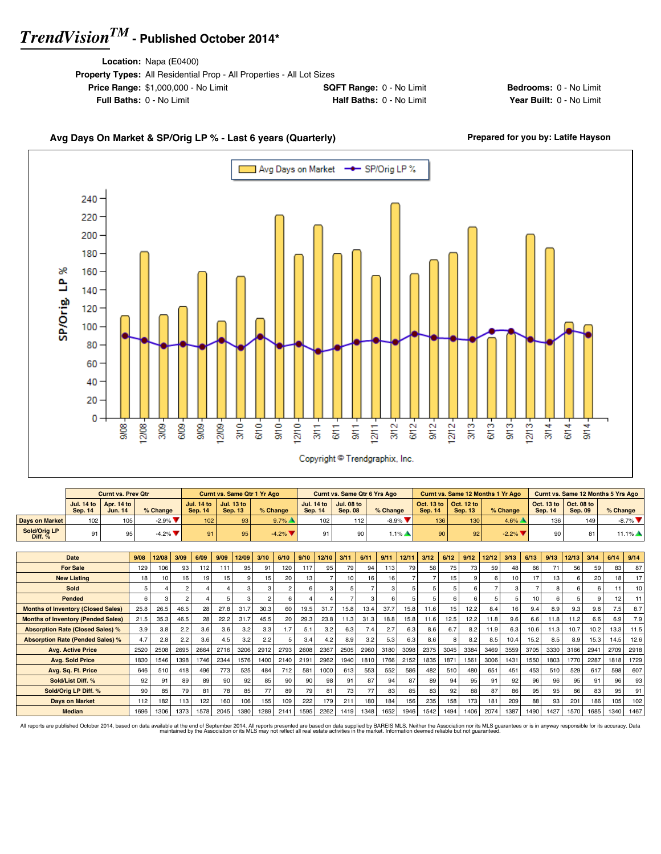**Location:** Napa (E0400)

| <b>Property Types:</b> All Residential Prop - All Properties - All Lot Sizes |                                 |
|------------------------------------------------------------------------------|---------------------------------|
| <b>Price Range: \$1,000,000 - No Limit</b>                                   | <b>SQFT Range: 0 - No Limit</b> |
| <b>Full Baths: 0 - No Limit</b>                                              | Half Baths: 0 - No Limit        |

**Bedrooms:** 0 - No Limit **Year Built: 0 - No Limit** 

### Avg Days On Market & SP/Orig LP % - Last 6 years (Quarterly) **Prepared for you by: Latife Hayson**



|                           |                | <b>Curnt vs. Prev Qtr</b>                        |                               |                  | <b>Curnt vs. Same Qtr 1 Yr Ago</b>                      |          |         | Curnt vs. Same Qtr 6 Yrs Ago                |                    |         |                                                         | Curnt vs. Same 12 Months 1 Yr Ago |                                                                 |                | <b>Curnt vs. Same 12 Months 5 Yrs Ago</b> |
|---------------------------|----------------|--------------------------------------------------|-------------------------------|------------------|---------------------------------------------------------|----------|---------|---------------------------------------------|--------------------|---------|---------------------------------------------------------|-----------------------------------|-----------------------------------------------------------------|----------------|-------------------------------------------|
|                           | <b>Sep. 14</b> | Jul. 14 to $\vert$ Apr. 14 to $\vert$<br>Jun. 14 | % Change                      | <b>Sep. 14</b>   | Jul. 14 to $\vert$ Jul. 13 to $\vert$<br><b>Sep. 13</b> | % Change | Sep. 14 | Jul. 14 to   Jul. 08 to  <br><b>Sep. 08</b> | $%$ Change         | Sep. 14 | Oct. 13 to $\vert$ Oct. 12 to $\vert$<br><b>Sep. 13</b> | % Change                          | $\vert$ Oct. 13 to $\vert$ Oct. 08 to $\vert$<br><b>Sep. 14</b> | <b>Sep. 09</b> | $%$ Change                                |
| Days on Market            | 102            | 105                                              | $-2.9\%$ $\blacktriangledown$ | 102 <sub>1</sub> | 93 <sup>1</sup>                                         | $9.7\%$  | 102     | 112                                         | $-8.9%$ $\sqrt{ }$ | 136     | 130 <sub>1</sub>                                        | $4.6\%$                           | 136                                                             | 149            | $-8.7\%$                                  |
| Sold/Oria LP<br>Diff. $%$ | 91             | 95                                               | $-4.2\%$                      | 91               | 95                                                      | $-4.2\%$ | 91      |                                             | $.1\%$             | 90      | 92'                                                     | $-2.2\%$ $\blacktriangledown$     | 90                                                              | 81             | $11.1\%$                                  |

| Date                                      | 9/08 | 12/08           | 3/09           | 6/09 | 9/09 | 12/09 | 3/10            | 6/10 | 9/10 | 12/10 | 3/11            | 6/11 | 9/11 | 12/11 | 3/12 | 6/12 | 9/12         | 12/12 | 3/13 | 6/13 | 9/13 | 12/13  | 3/14 | 6/14 | 9/14 |
|-------------------------------------------|------|-----------------|----------------|------|------|-------|-----------------|------|------|-------|-----------------|------|------|-------|------|------|--------------|-------|------|------|------|--------|------|------|------|
| <b>For Sale</b>                           | 129  | 106             | 93             | 112  | 111  | 95    | 91              | 120  | 117  | 95    | 79              | 94   | 113  | 79    | 58   | 75   | 73           | 59    | 48   | 66   | 71   | 56     | 59   | 83   | 87   |
| <b>New Listing</b>                        | 18   | 10 <sub>1</sub> | 16             | 19   | 15   |       | 15 <sub>1</sub> | 20   | 13   |       | 10 <sup>1</sup> | 16   | 16   |       |      | 15   | $\mathbf{q}$ |       | 10   | 17   | 13   |        | 20   | 18   | 17   |
| Sold                                      |      |                 | 2              |      |      |       |                 |      | 6    | 3     | 5.              |      |      |       |      |      | 6            |       | 3    |      |      |        |      | 11   | 10   |
| Pended                                    | 6    |                 | $\mathfrak{p}$ |      |      |       |                 | 6    |      |       |                 | 3    |      |       |      |      | 6            |       | 5    | 10   | 6    |        |      | 12   |      |
| <b>Months of Inventory (Closed Sales)</b> | 25.8 | 26.5            | 46.5           | 28   | 27.8 | 31.7  | 30.3            | 60   | 19.5 | 31.7  | 15.8            | 13.4 | 37.7 | 15.8  | 11.6 | 15   | 12.2         | 8.4   | 16   | 9.4  | 8.9  | 9.3    | 9.8  | 7.5  | 8.7  |
| <b>Months of Inventory (Pended Sales)</b> | 21.5 | 35.3            | 46.5           | 28   | 22.2 | 31.7  | 45.5            | 20   | 29.3 | 23.8  | 11.3            | 31.3 | 18.8 | 15.8  | 11.6 | 12.5 | 12.2         | 11.8  | 9.6  | 6.6  | 11.8 | 11.2   | 6.6  | 6.9  | 7.9  |
| <b>Absorption Rate (Closed Sales) %</b>   | 3.9  | 3.8             | 2.2            | 3.6  | 3.6  | 3.2   | 3.3             | 1.7  | 5.1  | 3.2   | 6.3             | 7.4  | 2.7  | 6.3   | 8.6  | 6.7  | 8.2          | 11.9  | 6.3  | 10.6 | 11.3 | 10.7   | 10.2 | 13.3 | 11.5 |
| <b>Absorption Rate (Pended Sales) %</b>   | 4.7  | 2.8             | 2.2            | 3.6  | 4.5  | 3.2   | 2.2             | 5    | 3.4  | 4.2   | 8.9             | 3.2  | 5.3  | 6.3   | 8.6  | R    | 8.2          | 8.5   | 10.4 | 15.2 | 8.5  | 8.9    | 15.3 | 14.5 | 12.6 |
| <b>Avg. Active Price</b>                  | 2520 | 2508            | 2695           | 2664 | 2716 | 3206  | 2912            | 2793 | 2608 | 2367  | 2505            | 2960 | 3180 | 3098  | 2375 | 3045 | 3384         | 3469  | 3559 | 3705 | 3330 | 3166   | 2941 | 2709 | 2918 |
| <b>Avg. Sold Price</b>                    | 1830 | 1546            | 1398           | 1746 | 2344 | 1576  | 1400            | 2140 | 2191 | 2962  | 1940            | 1810 | 1766 | 2152  | 1835 | 1871 | 1561         | 3006  | 1431 | 1550 | 1803 | 1770   | 2287 | 1818 | 1729 |
| Avg. Sq. Ft. Price                        | 646  | 510             | 418            | 496  | 773  | 525   | 484             | 712  | 581  | 1000  | 613             | 553  | 552  | 586   | 482  | 510  | 480          | 651   | 451  | 453  | 510  | 529    | 617  | 598  | 607  |
| Sold/List Diff. %                         | 92   | 91              | 89             | 89   | 90   | 92    | 85              | 90   | 90   | 98    | 91              | 87   | 94   | 87    | 89   | 94   | 95           | 91    | 92   | 96   | 96   | 95     | 91   | 96   | 93   |
| Sold/Orig LP Diff. %                      | 90   | 85              | 79             | 81   | 78   | 85    | 77              | 89   | 79   | 81    | 73              | 77   | 83   | 85    | 83   | 92   | 88           | 87    | 86   | 95   | 95   | 86     | 83   | 95   | 91   |
| <b>Days on Market</b>                     | 112  | 182             | 113            | 122  | 160  | 106   | 155             | 109  | 222  | 179   | 211             | 180  | 184  | 156   | 235  | 158  | 173          | 181   | 209  | 88   | 93   | $20 -$ | 186  | 105  | 102  |
| <b>Median</b>                             | 1696 | 1306            | 1373           | 1578 | 2045 | 1380  | 1289            | 2141 | 1595 | 2262  | 1419            | 1348 | 1652 | 1946  | 1542 | 1494 | 1406         | 2074  | 1387 | 1490 | 1427 | 1570   | 1685 | 1340 | 1467 |

All reports are published October 2014, based on data available at the end of September 2014. All reports presented are based on data avapplied by the Association or its MLS may not reflect all real estate activities in th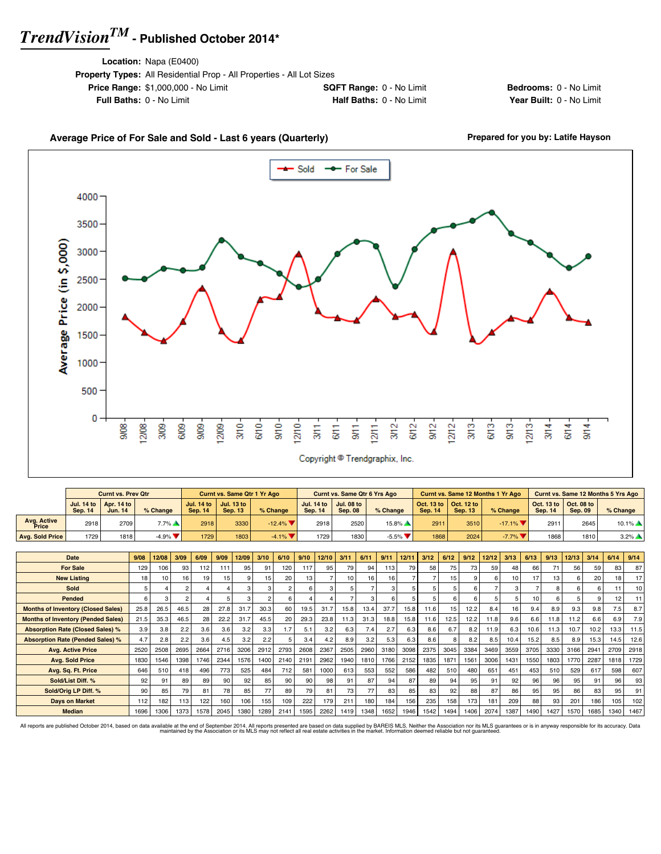**Location:** Napa (E0400)

| <b>Property Types:</b> All Residential Prop - All Properties - All Lot Sizes |                                 |
|------------------------------------------------------------------------------|---------------------------------|
| <b>Price Range: \$1,000,000 - No Limit</b>                                   | <b>SQFT Range: 0 - No Limit</b> |
| <b>Full Baths: 0 - No Limit</b>                                              | <b>Half Baths: 0 - No Limit</b> |

**Bedrooms:** 0 - No Limit **Year Built: 0 - No Limit** 

### Average Price of For Sale and Sold - Last 6 years (Quarterly) **Prepared for you by: Latife Hayson**



|                             |         | <b>Curnt vs. Prev Qtr</b>                   |                               |                                          | <b>Curnt vs. Same Qtr 1 Yr Ago</b> |           |                                     | <b>Curnt vs. Same Qtr 6 Yrs Ago</b> |                               |                |                                                                 | Curnt vs. Same 12 Months 1 Yr Ago |                |                                                                 | <b>Curnt vs. Same 12 Months 5 Yrs Ago</b> |
|-----------------------------|---------|---------------------------------------------|-------------------------------|------------------------------------------|------------------------------------|-----------|-------------------------------------|-------------------------------------|-------------------------------|----------------|-----------------------------------------------------------------|-----------------------------------|----------------|-----------------------------------------------------------------|-------------------------------------------|
|                             | Sep. 14 | Jul. 14 to   Apr. 14 to  <br><b>Jun. 14</b> | % Change                      | Jul. 14 to $\parallel$<br><b>Sep. 14</b> | Jul. 13 to<br><b>Sep. 13</b>       | % Change  | <b>Jul. 14 to</b><br><b>Sep. 14</b> | <b>Jul. 08 to</b><br><b>Sep. 08</b> | $%$ Change                    | <b>Sep. 14</b> | $\vert$ Oct. 13 to $\vert$ Oct. 12 to $\vert$<br><b>Sep. 13</b> | % Change                          | <b>Sep. 14</b> | $\vert$ Oct. 13 to $\vert$ Oct. 08 to $\vert$<br><b>Sep. 09</b> | $%$ Change                                |
| <b>Avg. Active</b><br>Price | 2918    | 2709                                        | 7.7%                          | 2918                                     | 3330                               | $-12.4\%$ | 2918                                | 2520                                | $15.8\%$                      | 2911           | 3510                                                            | $-17.1\%$                         | 2911           | 2645                                                            | $10.1\%$ $\triangle$                      |
| <b>Avg. Sold Price</b>      | 1729    | 1818                                        | $-4.9\%$ $\blacktriangledown$ | 1729                                     | 1803                               | $-4.1\%$  | 1729                                | 1830                                | $-5.5\%$ $\blacktriangledown$ | 1868           | 2024                                                            | $-7.7\%$ $\blacktriangledown$     | 1868           | 1810                                                            | $3.2\%$ $\triangle$                       |

| <b>Date</b>                               | 9/08 | 12/08 | 3/09           | 6/09 | 9/09            | 12/09 | 3/10   | 6/10 | 9/10            | 12/10 | 3/11 | 6/11 | 9/11 | 12/11 | 3/12 | 6/12            | 9/12 | 12/12 | 3/13 | 6/13 | 9/13 | 12/13 | 3/14 | 6/14 | 9/14            |
|-------------------------------------------|------|-------|----------------|------|-----------------|-------|--------|------|-----------------|-------|------|------|------|-------|------|-----------------|------|-------|------|------|------|-------|------|------|-----------------|
| <b>For Sale</b>                           | 129  | 106   | 93             | 112  | 111             | 95    | 91     | 120  | 117             | 95    | 79   | 94   | 113  | 79    | 58   | 75              | 73   | 59    | 48   | 66   | 71   | 56    | 59   | 83   | 87              |
| <b>New Listing</b>                        | 18   | 10    | 16             | 19   | 15 <sub>1</sub> |       | 15     | 20   | 13              |       | 10   | 16   | 16   |       |      | 15              | a    | ĥ     | 10   | 17   | 13   |       | 20   | 18   | 17 <sup>1</sup> |
| Sold                                      | 5    |       | 2              |      |                 |       |        |      | 6               | 3     | 5.   |      |      |       |      |                 | 6    |       | 3    |      | 8    |       |      |      | 10 <sup>1</sup> |
| Pended                                    | 6    |       | $\overline{a}$ |      |                 |       |        | 6    |                 |       |      | 3    |      |       |      | 6.              | 6    |       |      | 10   | 6    |       |      | 12   | 11              |
| <b>Months of Inventory (Closed Sales)</b> | 25.8 | 26.5  | 46.5           | 28   | 27.8            | 31.7  | 30.3   | 60   | 19.5            | 31.7  | 15.8 | 13.4 | 37.7 | 15.8  | 11.6 | 15 <sup>1</sup> | 12.2 | 8.4   | 16   | 9.4  | 8.9  | 9.3   | 9.8  | 7.5  | 8.7             |
| <b>Months of Inventory (Pended Sales)</b> | 21.5 | 35.3  | 46.5           | 28   | 22.2            | 31.7  | 45.5   | 20   | 29.3            | 23.8  | 11.3 | 31.3 | 18.8 | 15.8  | 11.6 | 12.5            | 12.2 | 11.8  | 9.6  | 6.6  | 11.8 | 11.2  | 6.6  | 6.9  | 7.9             |
| <b>Absorption Rate (Closed Sales) %</b>   | 3.9  | 3.8   | 2.2            | 3.6  | 3.6             | 3.2   | 3.3    | 1.7  | 5.1             | 3.2   | 6.3  | 7.4  | 2.7  | 6.3   | 8.6  | 6.7             | 8.2  | 11.9  | 6.3  | 10.6 | 11.3 | 10.7  | 10.2 | 13.3 | 11.5            |
| <b>Absorption Rate (Pended Sales) %</b>   | 4.7  | 2.8   | 2.2            | 3.6  | 4.5             | 3.2   | 2.2    |      | 3.4             | 4.2   | 8.9  | 3.2  | 5.3  | 6.3   | 8.6  |                 | 8.2  | 8.5   | 10.4 | 15.2 | 8.5  | 8.9   | 15.3 | 14.5 | 12.6            |
| <b>Avg. Active Price</b>                  | 2520 | 2508  | 2695           | 2664 | 2716            | 3206  | 2912   | 2793 | 2608            | 2367  | 2505 | 2960 | 3180 | 3098  | 2375 | 3045            | 3384 | 3469  | 3559 | 3705 | 3330 | 3166  | 2941 | 2709 | 2918            |
| <b>Avg. Sold Price</b>                    | 1830 | 1546  | 1398           | 1746 | 2344            | 1576  | 1400 l | 2140 | 2191            | 2962  | 1940 | 1810 | 1766 | 2152  | 1835 | 1871            | 1561 | 3006  | 1431 | 1550 | 1803 | 1770  | 2287 | 1818 | 1729            |
| Avg. Sq. Ft. Price                        | 646  | 510   | 418            | 496  | 773             | 525   | 484    | 712  | 581             | 1000  | 613  | 553  | 552  | 586   | 482  | 510             | 480  | 651   | 451  | 453  | 510  | 529   | 617  | 598  | 607             |
| Sold/List Diff. %                         | 92   | 91    | 89             | 89   | 90 <sup>1</sup> | 92    | 85     | 90   | 90 <sup>°</sup> | 98    | 91   | 87   | 94   | 87    | 89   | 94              | 95   | 91    | 92   | 96   | 96   | 95    | 91   | 96   | 93              |
| Sold/Orig LP Diff. %                      | 90   | 85    | 79             | 81   | 78 l            | 85    | 77     | 89   | 79              | 81    | 73   | 77   | 83   | 85    | 83   | 92              | 88   | 87    | 86   | 95   | 95   | 86    | 83   | 95   | 91              |
| <b>Days on Market</b>                     | 112  | 182   | 113            | 122  | 160             | 106   | 155    | 109  | 222             | 179   | 211  | 180  | 184  | 156   | 235  | 158             | 173  | 181   | 209  | 88   | 93   | 201   | 186  | 105  | 102             |
| <b>Median</b>                             | 1696 | 1306  | 1373           | 1578 | 2045            | 1380  | 1289   | 2141 | 1595            | 2262  | 1419 | 1348 | 1652 | 1946  | 1542 | 1494            | 1406 | 2074  | 1387 | 1490 | 1427 | 1570  | 1685 | 1340 | 1467            |

All reports are published October 2014, based on data available at the end of September 2014. All reports presented are based on data avapplied by the Association or its MLS may not reflect all real estate activities in th